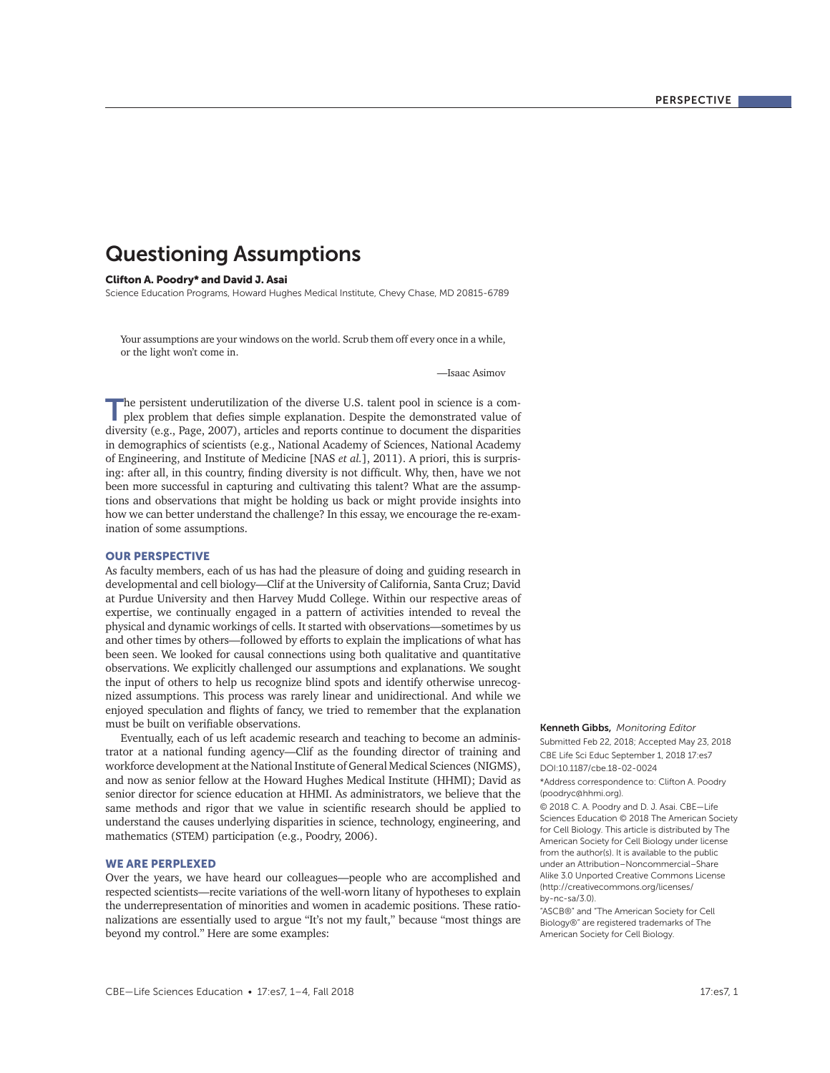# Questioning Assumptions

## Clifton A. Poodry\* and David J. Asai

Science Education Programs, Howard Hughes Medical Institute, Chevy Chase, MD 20815-6789

Your assumptions are your windows on the world. Scrub them off every once in a while, or the light won't come in.

—Isaac Asimov

The persistent underutilization of the diverse U.S. talent pool in science is a complex problem that defies simple explanation. Despite the demonstrated value of diversity (e.g., Page, 2007), articles and reports continue to document the disparities in demographics of scientists (e.g., National Academy of Sciences, National Academy of Engineering, and Institute of Medicine [NAS *et al.*], 2011). A priori, this is surprising: after all, in this country, finding diversity is not difficult. Why, then, have we not been more successful in capturing and cultivating this talent? What are the assumptions and observations that might be holding us back or might provide insights into how we can better understand the challenge? In this essay, we encourage the re-examination of some assumptions.

## OUR PERSPECTIVE

As faculty members, each of us has had the pleasure of doing and guiding research in developmental and cell biology—Clif at the University of California, Santa Cruz; David at Purdue University and then Harvey Mudd College. Within our respective areas of expertise, we continually engaged in a pattern of activities intended to reveal the physical and dynamic workings of cells. It started with observations—sometimes by us and other times by others—followed by efforts to explain the implications of what has been seen. We looked for causal connections using both qualitative and quantitative observations. We explicitly challenged our assumptions and explanations. We sought the input of others to help us recognize blind spots and identify otherwise unrecognized assumptions. This process was rarely linear and unidirectional. And while we enjoyed speculation and flights of fancy, we tried to remember that the explanation must be built on verifiable observations.

Eventually, each of us left academic research and teaching to become an administrator at a national funding agency—Clif as the founding director of training and workforce development at the National Institute of General Medical Sciences (NIGMS), and now as senior fellow at the Howard Hughes Medical Institute (HHMI); David as senior director for science education at HHMI. As administrators, we believe that the same methods and rigor that we value in scientific research should be applied to understand the causes underlying disparities in science, technology, engineering, and mathematics (STEM) participation (e.g., Poodry, 2006).

## WE ARE PERPLEXED

Over the years, we have heard our colleagues—people who are accomplished and respected scientists—recite variations of the well-worn litany of hypotheses to explain the underrepresentation of minorities and women in academic positions. These rationalizations are essentially used to argue "It's not my fault," because "most things are beyond my control." Here are some examples:

Kenneth Gibbs, *Monitoring Editor* Submitted Feb 22, 2018; Accepted May 23, 2018 DOI:10.1187/cbe.18-02-0024 CBE Life Sci Educ September 1, 2018 17:es7

\*Address correspondence to: Clifton A. Poodry (poodryc@hhmi.org).

© 2018 C. A. Poodry and D. J. Asai. CBE—Life Sciences Education © 2018 The American Society for Cell Biology. This article is distributed by The American Society for Cell Biology under license from the author(s). It is available to the public under an Attribution–Noncommercial–Share Alike 3.0 Unported Creative Commons License (http://creativecommons.org/licenses/ by-nc-sa/3.0).

"ASCB®" and "The American Society for Cell Biology®" are registered trademarks of The American Society for Cell Biology.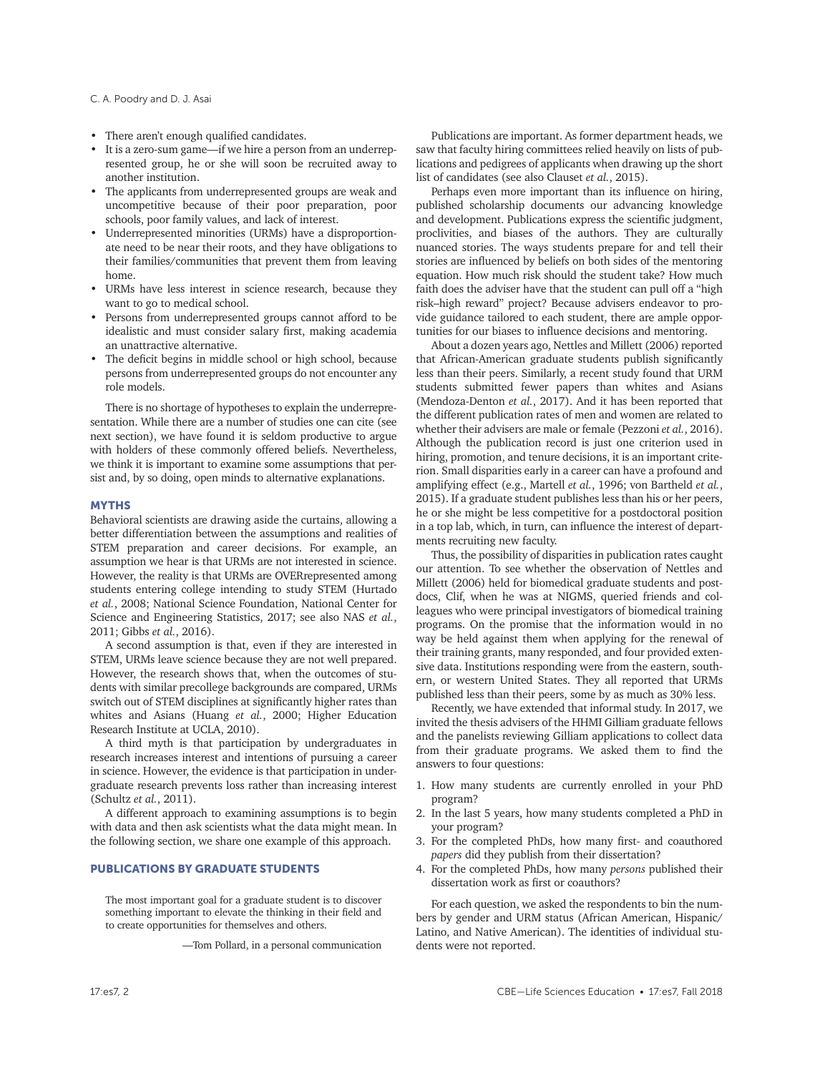#### C. A. Poodry and D. J. Asai

- There aren't enough qualified candidates.
- It is a zero-sum game—if we hire a person from an underrepresented group, he or she will soon be recruited away to another institution.
- The applicants from underrepresented groups are weak and uncompetitive because of their poor preparation, poor schools, poor family values, and lack of interest.
- Underrepresented minorities (URMs) have a disproportionate need to be near their roots, and they have obligations to their families/communities that prevent them from leaving home.
- URMs have less interest in science research, because they want to go to medical school.
- Persons from underrepresented groups cannot afford to be idealistic and must consider salary first, making academia an unattractive alternative.
- The deficit begins in middle school or high school, because persons from underrepresented groups do not encounter any role models.

There is no shortage of hypotheses to explain the underrepresentation. While there are a number of studies one can cite (see next section), we have found it is seldom productive to argue with holders of these commonly offered beliefs. Nevertheless, we think it is important to examine some assumptions that persist and, by so doing, open minds to alternative explanations.

#### MYTHS

Behavioral scientists are drawing aside the curtains, allowing a better differentiation between the assumptions and realities of STEM preparation and career decisions. For example, an assumption we hear is that URMs are not interested in science. However, the reality is that URMs are OVERrepresented among students entering college intending to study STEM (Hurtado *et al.*, 2008; National Science Foundation, National Center for Science and Engineering Statistics, 2017; see also NAS *et al.*, 2011; Gibbs *et al.*, 2016).

A second assumption is that, even if they are interested in STEM, URMs leave science because they are not well prepared. However, the research shows that, when the outcomes of students with similar precollege backgrounds are compared, URMs switch out of STEM disciplines at significantly higher rates than whites and Asians (Huang *et al.*, 2000; Higher Education Research Institute at UCLA, 2010).

A third myth is that participation by undergraduates in research increases interest and intentions of pursuing a career in science. However, the evidence is that participation in undergraduate research prevents loss rather than increasing interest (Schultz *et al.*, 2011).

A different approach to examining assumptions is to begin with data and then ask scientists what the data might mean. In the following section, we share one example of this approach.

### PUBLICATIONS BY GRADUATE STUDENTS

The most important goal for a graduate student is to discover something important to elevate the thinking in their field and to create opportunities for themselves and others.

—Tom Pollard, in a personal communication

Publications are important. As former department heads, we saw that faculty hiring committees relied heavily on lists of publications and pedigrees of applicants when drawing up the short list of candidates (see also Clauset *et al.*, 2015).

Perhaps even more important than its influence on hiring, published scholarship documents our advancing knowledge and development. Publications express the scientific judgment, proclivities, and biases of the authors. They are culturally nuanced stories. The ways students prepare for and tell their stories are influenced by beliefs on both sides of the mentoring equation. How much risk should the student take? How much faith does the adviser have that the student can pull off a "high risk–high reward" project? Because advisers endeavor to provide guidance tailored to each student, there are ample opportunities for our biases to influence decisions and mentoring.

About a dozen years ago, Nettles and Millett (2006) reported that African-American graduate students publish significantly less than their peers. Similarly, a recent study found that URM students submitted fewer papers than whites and Asians (Mendoza-Denton *et al.*, 2017). And it has been reported that the different publication rates of men and women are related to whether their advisers are male or female (Pezzoni *et al.*, 2016). Although the publication record is just one criterion used in hiring, promotion, and tenure decisions, it is an important criterion. Small disparities early in a career can have a profound and amplifying effect (e.g., Martell *et al.*, 1996; von Bartheld *et al.*, 2015). If a graduate student publishes less than his or her peers, he or she might be less competitive for a postdoctoral position in a top lab, which, in turn, can influence the interest of departments recruiting new faculty.

Thus, the possibility of disparities in publication rates caught our attention. To see whether the observation of Nettles and Millett (2006) held for biomedical graduate students and postdocs, Clif, when he was at NIGMS, queried friends and colleagues who were principal investigators of biomedical training programs. On the promise that the information would in no way be held against them when applying for the renewal of their training grants, many responded, and four provided extensive data. Institutions responding were from the eastern, southern, or western United States. They all reported that URMs published less than their peers, some by as much as 30% less.

Recently, we have extended that informal study. In 2017, we invited the thesis advisers of the HHMI Gilliam graduate fellows and the panelists reviewing Gilliam applications to collect data from their graduate programs. We asked them to find the answers to four questions:

- 1. How many students are currently enrolled in your PhD program?
- 2. In the last 5 years, how many students completed a PhD in your program?
- 3. For the completed PhDs, how many first- and coauthored *papers* did they publish from their dissertation?
- 4. For the completed PhDs, how many *persons* published their dissertation work as first or coauthors?

For each question, we asked the respondents to bin the numbers by gender and URM status (African American, Hispanic/ Latino, and Native American). The identities of individual students were not reported.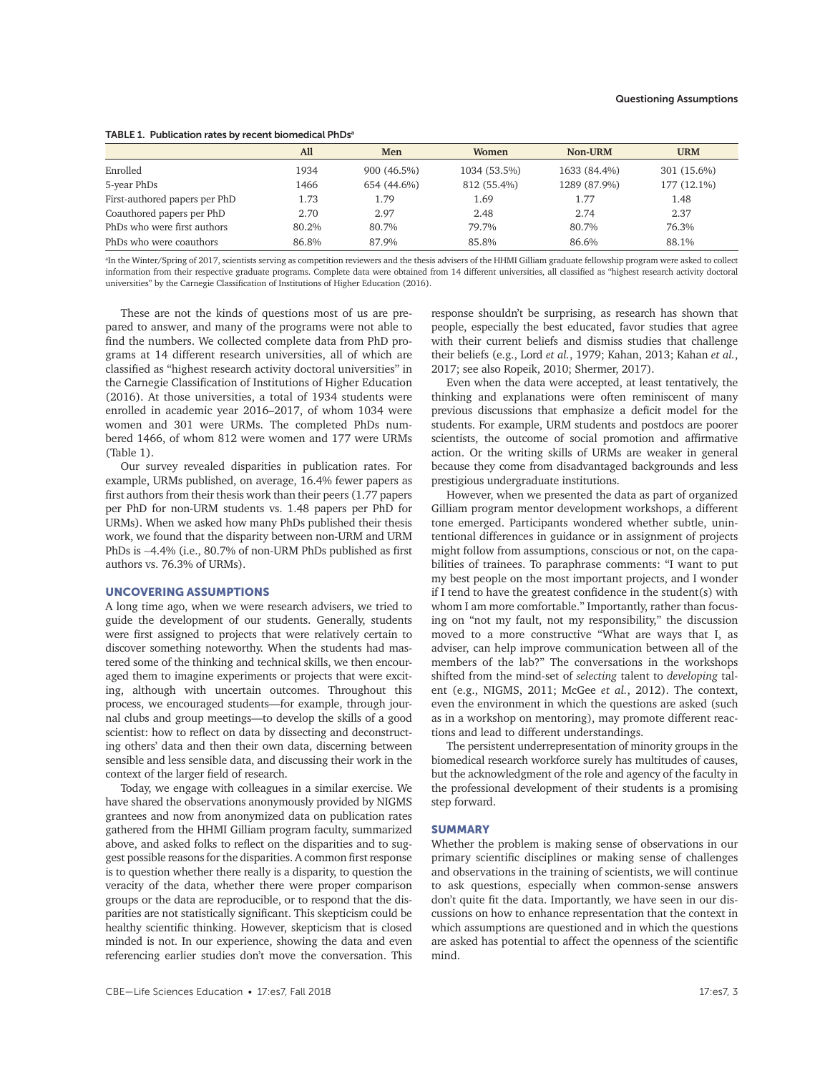#### Questioning Assumptions

TABLE 1. Publication rates by recent biomedical PhDs<sup>a</sup>

|                               | All   | Men         | Women        | Non-URM      | <b>URM</b>  |
|-------------------------------|-------|-------------|--------------|--------------|-------------|
| Enrolled                      | 1934  | 900 (46.5%) | 1034 (53.5%) | 1633 (84.4%) | 301 (15.6%) |
| 5-year PhDs                   | 1466  | 654 (44.6%) | 812 (55.4%)  | 1289 (87.9%) | 177 (12.1%) |
| First-authored papers per PhD | 1.73  | 1.79        | 1.69         | 1.77         | 1.48        |
| Coauthored papers per PhD     | 2.70  | 2.97        | 2.48         | 2.74         | 2.37        |
| PhDs who were first authors   | 80.2% | 80.7%       | 79.7%        | 80.7%        | 76.3%       |
| PhDs who were coauthors       | 86.8% | 87.9%       | 85.8%        | 86.6%        | 88.1%       |

a In the Winter/Spring of 2017, scientists serving as competition reviewers and the thesis advisers of the HHMI Gilliam graduate fellowship program were asked to collect information from their respective graduate programs. Complete data were obtained from 14 different universities, all classified as "highest research activity doctoral universities" by the Carnegie Classification of Institutions of Higher Education (2016).

These are not the kinds of questions most of us are prepared to answer, and many of the programs were not able to find the numbers. We collected complete data from PhD programs at 14 different research universities, all of which are classified as "highest research activity doctoral universities" in the Carnegie Classification of Institutions of Higher Education (2016). At those universities, a total of 1934 students were enrolled in academic year 2016–2017, of whom 1034 were women and 301 were URMs. The completed PhDs numbered 1466, of whom 812 were women and 177 were URMs (Table 1).

Our survey revealed disparities in publication rates. For example, URMs published, on average, 16.4% fewer papers as first authors from their thesis work than their peers (1.77 papers per PhD for non-URM students vs. 1.48 papers per PhD for URMs). When we asked how many PhDs published their thesis work, we found that the disparity between non-URM and URM PhDs is ∼4.4% (i.e., 80.7% of non-URM PhDs published as first authors vs. 76.3% of URMs).

#### UNCOVERING ASSUMPTIONS

A long time ago, when we were research advisers, we tried to guide the development of our students. Generally, students were first assigned to projects that were relatively certain to discover something noteworthy. When the students had mastered some of the thinking and technical skills, we then encouraged them to imagine experiments or projects that were exciting, although with uncertain outcomes. Throughout this process, we encouraged students—for example, through journal clubs and group meetings—to develop the skills of a good scientist: how to reflect on data by dissecting and deconstructing others' data and then their own data, discerning between sensible and less sensible data, and discussing their work in the context of the larger field of research.

Today, we engage with colleagues in a similar exercise. We have shared the observations anonymously provided by NIGMS grantees and now from anonymized data on publication rates gathered from the HHMI Gilliam program faculty, summarized above, and asked folks to reflect on the disparities and to suggest possible reasons for the disparities. A common first response is to question whether there really is a disparity, to question the veracity of the data, whether there were proper comparison groups or the data are reproducible, or to respond that the disparities are not statistically significant. This skepticism could be healthy scientific thinking. However, skepticism that is closed minded is not. In our experience, showing the data and even referencing earlier studies don't move the conversation. This response shouldn't be surprising, as research has shown that people, especially the best educated, favor studies that agree with their current beliefs and dismiss studies that challenge their beliefs (e.g., Lord *et al.*, 1979; Kahan, 2013; Kahan *et al.*, 2017; see also Ropeik, 2010; Shermer, 2017).

Even when the data were accepted, at least tentatively, the thinking and explanations were often reminiscent of many previous discussions that emphasize a deficit model for the students. For example, URM students and postdocs are poorer scientists, the outcome of social promotion and affirmative action. Or the writing skills of URMs are weaker in general because they come from disadvantaged backgrounds and less prestigious undergraduate institutions.

However, when we presented the data as part of organized Gilliam program mentor development workshops, a different tone emerged. Participants wondered whether subtle, unintentional differences in guidance or in assignment of projects might follow from assumptions, conscious or not, on the capabilities of trainees. To paraphrase comments: "I want to put my best people on the most important projects, and I wonder if I tend to have the greatest confidence in the student(s) with whom I am more comfortable." Importantly, rather than focusing on "not my fault, not my responsibility," the discussion moved to a more constructive "What are ways that I, as adviser, can help improve communication between all of the members of the lab?" The conversations in the workshops shifted from the mind-set of *selecting* talent to *developing* talent (e.g., NIGMS, 2011; McGee *et al.*, 2012). The context, even the environment in which the questions are asked (such as in a workshop on mentoring), may promote different reactions and lead to different understandings.

The persistent underrepresentation of minority groups in the biomedical research workforce surely has multitudes of causes, but the acknowledgment of the role and agency of the faculty in the professional development of their students is a promising step forward.

#### **SUMMARY**

Whether the problem is making sense of observations in our primary scientific disciplines or making sense of challenges and observations in the training of scientists, we will continue to ask questions, especially when common-sense answers don't quite fit the data. Importantly, we have seen in our discussions on how to enhance representation that the context in which assumptions are questioned and in which the questions are asked has potential to affect the openness of the scientific mind.